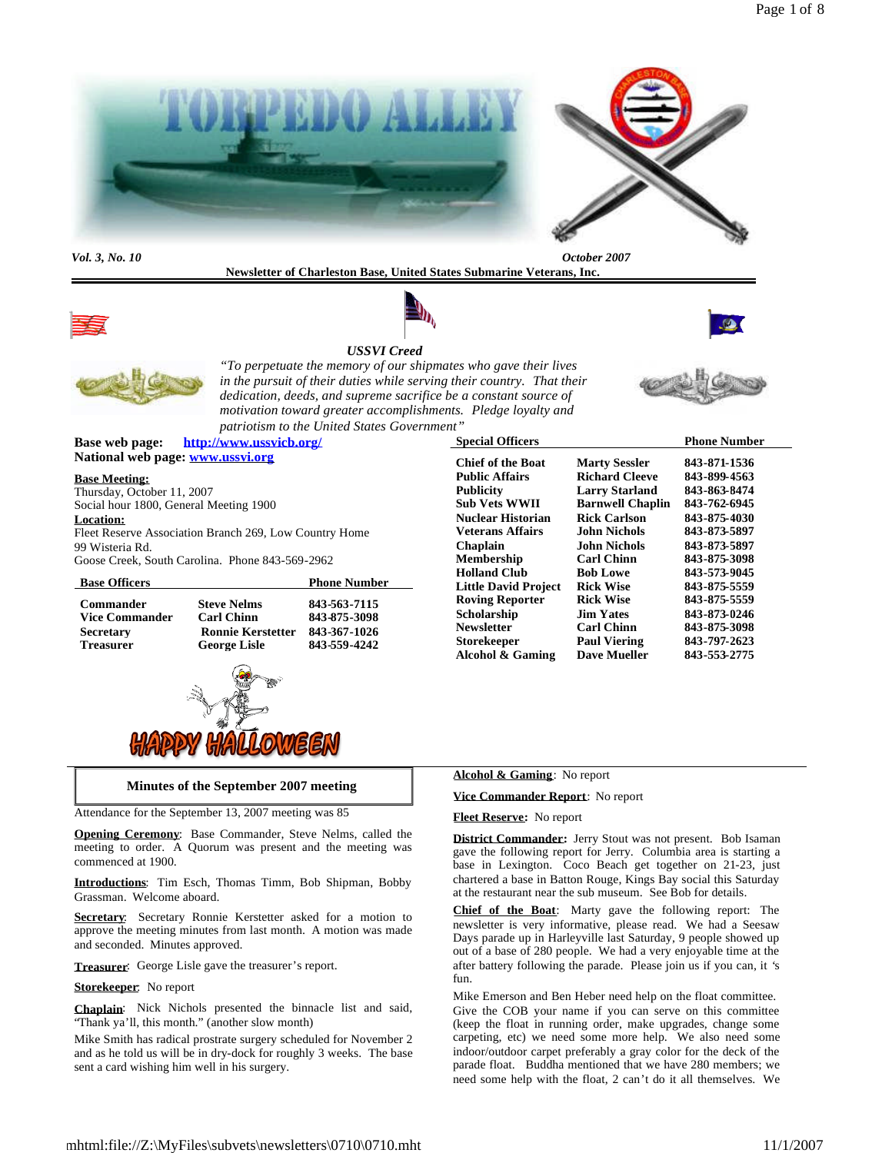

**Newsletter of Charleston Base, United States Submarine Veterans, Inc.**



# *USSVI Creed*







*"To perpetuate the memory of our shipmates who gave their lives in the pursuit of their duties while serving their country. That their dedication, deeds, and supreme sacrifice be a constant source of motivation toward greater accomplishments. Pledge loyalty and patriotism to the United States Government"*

**Base web page: http://www.ussvicb.org/ National web page: www.ussvi.org**

#### **Base Meeting:**

Thursday, October 11, 2007 Social hour 1800, General Meeting 1900 **Location:** Fleet Reserve Association Branch 269, Low Country Home 99 Wisteria Rd. Goose Creek, South Carolina. Phone 843-569-2962

| <b>Base Officers</b>  |                          | <b>Phone Number</b> |
|-----------------------|--------------------------|---------------------|
| <b>Commander</b>      | <b>Steve Nelms</b>       | 843-563-7115        |
| <b>Vice Commander</b> | <b>Carl Chinn</b>        | 843-875-3098        |
| <b>Secretary</b>      | <b>Ronnie Kerstetter</b> | 843-367-1026        |
| <b>Treasurer</b>      | <b>George Lisle</b>      | 843-559-4242        |



#### **Minutes of the September 2007 meeting**

Attendance for the September 13, 2007 meeting was 85

**Opening Ceremony**: Base Commander, Steve Nelms, called the meeting to order. A Quorum was present and the meeting was commenced at 1900.

**Introductions**: Tim Esch, Thomas Timm, Bob Shipman, Bobby Grassman. Welcome aboard.

**Secretary**: Secretary Ronnie Kerstetter asked for a motion to approve the meeting minutes from last month. A motion was made and seconded. Minutes approved.

**Treasurer**: George Lisle gave the treasurer's report.

**Storekeeper**: No report

**Chaplain**: Nick Nichols presented the binnacle list and said, "Thank ya'll, this month." (another slow month)

Mike Smith has radical prostrate surgery scheduled for November 2 and as he told us will be in dry-dock for roughly 3 weeks. The base sent a card wishing him well in his surgery.

|                         | <b>Phone Number</b> |
|-------------------------|---------------------|
| <b>Marty Sessler</b>    | 843-871-1536        |
| <b>Richard Cleeve</b>   | 843-899-4563        |
| <b>Larry Starland</b>   | 843-863-8474        |
| <b>Barnwell Chaplin</b> | 843-762-6945        |
| <b>Rick Carlson</b>     | 843-875-4030        |
| John Nichols            | 843-873-5897        |
| John Nichols            | 843-873-5897        |
| <b>Carl Chinn</b>       | 843-875-3098        |
| <b>Bob Lowe</b>         | 843-573-9045        |
| <b>Rick Wise</b>        | 843-875-5559        |
| <b>Rick Wise</b>        | 843-875-5559        |
| <b>Jim Yates</b>        | 843-873-0246        |
| <b>Carl Chinn</b>       | 843-875-3098        |
| <b>Paul Viering</b>     | 843-797-2623        |
| <b>Dave Mueller</b>     | 843-553-2775        |
|                         |                     |

#### **Alcohol & Gaming**: No report

**Vice Commander Report**: No report

#### **Fleet Reserve:** No report

**District Commander:** Jerry Stout was not present. Bob Isaman gave the following report for Jerry. Columbia area is starting a base in Lexington. Coco Beach get together on 21-23, just chartered a base in Batton Rouge, Kings Bay social this Saturday at the restaurant near the sub museum. See Bob for details.

**Chief of the Boat**: Marty gave the following report: The newsletter is very informative, please read. We had a Seesaw Days parade up in Harleyville last Saturday, 9 people showed up out of a base of 280 people. We had a very enjoyable time at the after battery following the parade. Please join us if you can, it 's fun.

Mike Emerson and Ben Heber need help on the float committee. Give the COB your name if you can serve on this committee (keep the float in running order, make upgrades, change some carpeting, etc) we need some more help. We also need some indoor/outdoor carpet preferably a gray color for the deck of the parade float. Buddha mentioned that we have 280 members; we need some help with the float, 2 can't do it all themselves. We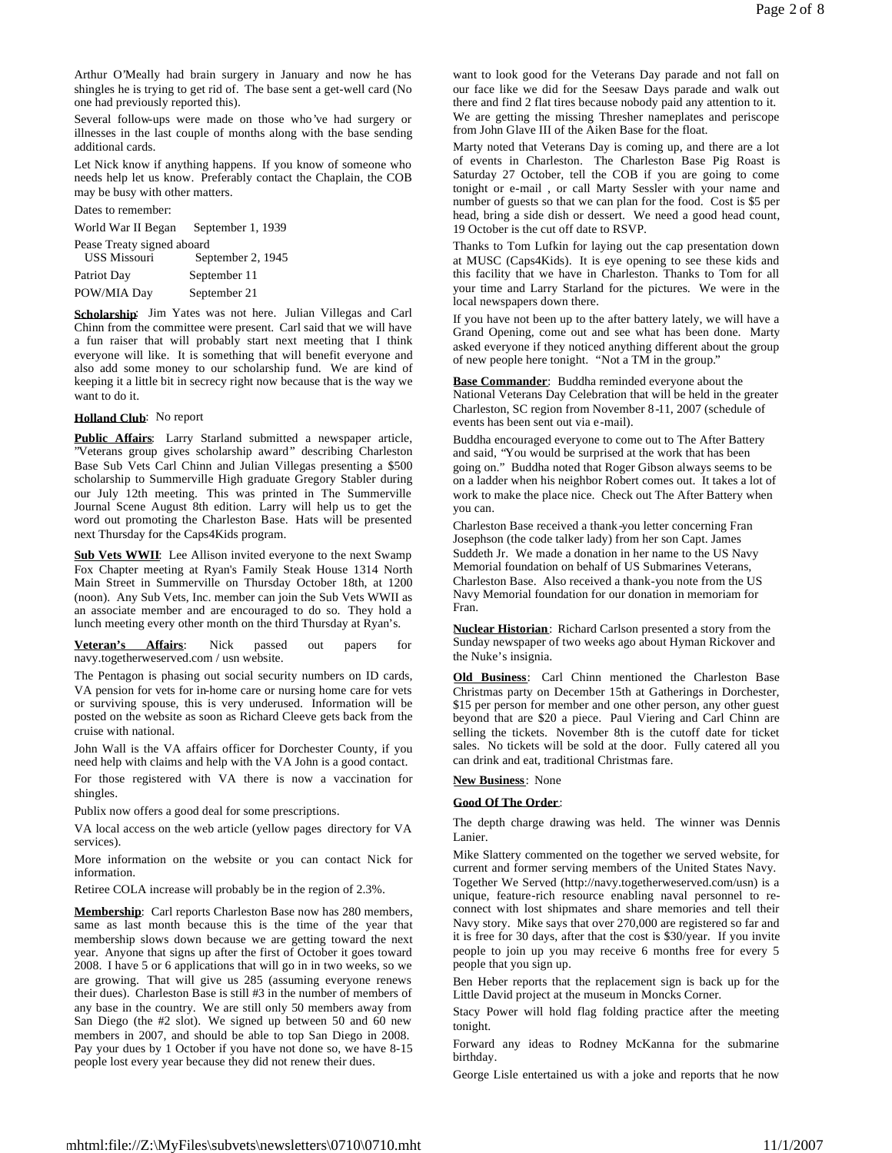Arthur O'Meally had brain surgery in January and now he has shingles he is trying to get rid of. The base sent a get-well card (No one had previously reported this).

Several follow-ups were made on those who've had surgery or illnesses in the last couple of months along with the base sending additional cards.

Let Nick know if anything happens. If you know of someone who needs help let us know. Preferably contact the Chaplain, the COB may be busy with other matters.

Dates to remember:

World War II Began September 1, 1939 Pease Treaty signed aboard<br>USS Missouri Ser September 2, 1945 Patriot Day September 11 POW/MIA Day September 21

**Scholarship**: Jim Yates was not here. Julian Villegas and Carl Chinn from the committee were present. Carl said that we will have a fun raiser that will probably start next meeting that I think everyone will like. It is something that will benefit everyone and also add some money to our scholarship fund. We are kind of keeping it a little bit in secrecy right now because that is the way we want to do it.

## **Holland Club**: No report

**Public Affairs**: Larry Starland submitted a newspaper article, "Veterans group gives scholarship award" describing Charleston Base Sub Vets Carl Chinn and Julian Villegas presenting a \$500 scholarship to Summerville High graduate Gregory Stabler during our July 12th meeting. This was printed in The Summerville Journal Scene August 8th edition. Larry will help us to get the word out promoting the Charleston Base. Hats will be presented next Thursday for the Caps4Kids program.

Sub Vets WWII: Lee Allison invited everyone to the next Swamp Fox Chapter meeting at Ryan's Family Steak House 1314 North Main Street in Summerville on Thursday October 18th, at 1200 (noon). Any Sub Vets, Inc. member can join the Sub Vets WWII as an associate member and are encouraged to do so. They hold a lunch meeting every other month on the third Thursday at Ryan's.

**Veteran's Affairs**: Nick passed out papers for navy.togetherweserved.com / usn website.

The Pentagon is phasing out social security numbers on ID cards, VA pension for vets for in-home care or nursing home care for vets or surviving spouse, this is very underused. Information will be posted on the website as soon as Richard Cleeve gets back from the cruise with national.

John Wall is the VA affairs officer for Dorchester County, if you need help with claims and help with the VA John is a good contact.

For those registered with VA there is now a vaccination for shingles.

Publix now offers a good deal for some prescriptions.

VA local access on the web article (yellow pages directory for VA services).

More information on the website or you can contact Nick for information.

Retiree COLA increase will probably be in the region of 2.3%.

**Membership**: Carl reports Charleston Base now has 280 members, same as last month because this is the time of the year that membership slows down because we are getting toward the next year. Anyone that signs up after the first of October it goes toward 2008. I have 5 or 6 applications that will go in in two weeks, so we are growing. That will give us 285 (assuming everyone renews their dues). Charleston Base is still #3 in the number of members of any base in the country. We are still only 50 members away from San Diego (the #2 slot). We signed up between 50 and 60 new members in 2007, and should be able to top San Diego in 2008. Pay your dues by 1 October if you have not done so, we have 8-15 people lost every year because they did not renew their dues.

want to look good for the Veterans Day parade and not fall on our face like we did for the Seesaw Days parade and walk out there and find 2 flat tires because nobody paid any attention to it. We are getting the missing Thresher nameplates and periscope from John Glave III of the Aiken Base for the float.

Marty noted that Veterans Day is coming up, and there are a lot of events in Charleston. The Charleston Base Pig Roast is Saturday 27 October, tell the COB if you are going to come tonight or e-mail , or call Marty Sessler with your name and number of guests so that we can plan for the food. Cost is \$5 per head, bring a side dish or dessert. We need a good head count, 19 October is the cut off date to RSVP.

Thanks to Tom Lufkin for laying out the cap presentation down at MUSC (Caps4Kids). It is eye opening to see these kids and this facility that we have in Charleston. Thanks to Tom for all your time and Larry Starland for the pictures. We were in the local newspapers down there.

If you have not been up to the after battery lately, we will have a Grand Opening, come out and see what has been done. Marty asked everyone if they noticed anything different about the group of new people here tonight. "Not a TM in the group."

**Base Commander**: Buddha reminded everyone about the National Veterans Day Celebration that will be held in the greater Charleston, SC region from November 8-11, 2007 (schedule of events has been sent out via e-mail).

Buddha encouraged everyone to come out to The After Battery and said, "You would be surprised at the work that has been going on." Buddha noted that Roger Gibson always seems to be on a ladder when his neighbor Robert comes out. It takes a lot of work to make the place nice. Check out The After Battery when you can.

Charleston Base received a thank-you letter concerning Fran Josephson (the code talker lady) from her son Capt. James Suddeth Jr. We made a donation in her name to the US Navy Memorial foundation on behalf of US Submarines Veterans, Charleston Base. Also received a thank-you note from the US Navy Memorial foundation for our donation in memoriam for Fran.

**Nuclear Historian**: Richard Carlson presented a story from the Sunday newspaper of two weeks ago about Hyman Rickover and the Nuke's insignia.

**Old Business**: Carl Chinn mentioned the Charleston Base Christmas party on December 15th at Gatherings in Dorchester, \$15 per person for member and one other person, any other guest beyond that are \$20 a piece. Paul Viering and Carl Chinn are selling the tickets. November 8th is the cutoff date for ticket sales. No tickets will be sold at the door. Fully catered all you can drink and eat, traditional Christmas fare.

#### **New Business**: None

#### **Good Of The Order**:

The depth charge drawing was held. The winner was Dennis Lanier.

Mike Slattery commented on the together we served website, for current and former serving members of the United States Navy. Together We Served (http://navy.togetherweserved.com/usn) is a unique, feature-rich resource enabling naval personnel to reconnect with lost shipmates and share memories and tell their Navy story. Mike says that over 270,000 are registered so far and it is free for 30 days, after that the cost is \$30/year. If you invite people to join up you may receive 6 months free for every 5 people that you sign up.

Ben Heber reports that the replacement sign is back up for the Little David project at the museum in Moncks Corner.

Stacy Power will hold flag folding practice after the meeting tonight.

Forward any ideas to Rodney McKanna for the submarine birthday.

George Lisle entertained us with a joke and reports that he now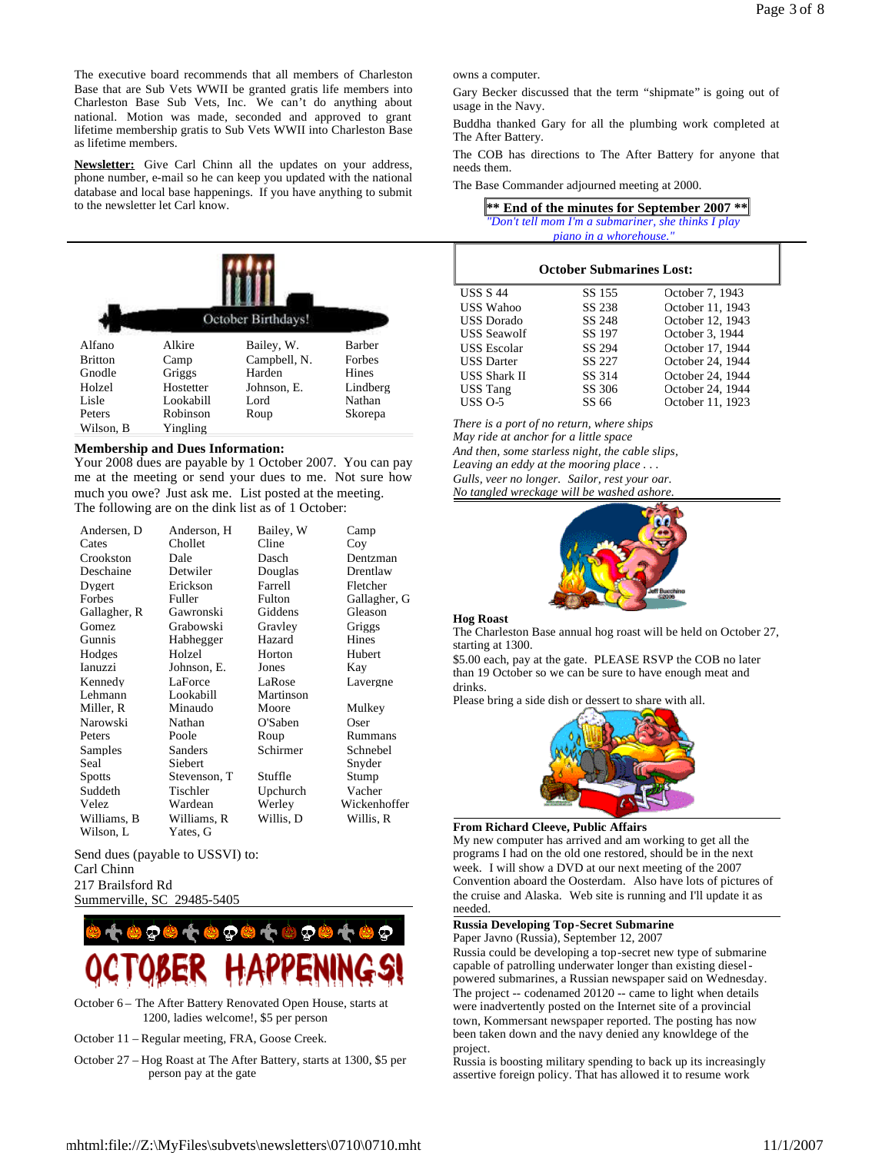The executive board recommends that all members of Charleston Base that are Sub Vets WWII be granted gratis life members into Charleston Base Sub Vets, Inc. We can't do anything about national. Motion was made, seconded and approved to grant lifetime membership gratis to Sub Vets WWII into Charleston Base as lifetime members.

**Newsletter:** Give Carl Chinn all the updates on your address, phone number, e-mail so he can keep you updated with the national database and local base happenings. If you have anything to submit to the newsletter let Carl know.



# **Membership and Dues Information:**

Your 2008 dues are payable by 1 October 2007. You can pay me at the meeting or send your dues to me. Not sure how much you owe? Just ask me. List posted at the meeting. The following are on the dink list as of 1 October:

| Andersen, D   | Anderson, H  | Bailey, W | Camp         |
|---------------|--------------|-----------|--------------|
| Cates         | Chollet      | Cline     | Coy          |
| Crookston     | Dale         | Dasch     | Dentzman     |
| Deschaine     | Detwiler     | Douglas   | Drentlaw     |
| Dygert        | Erickson     | Farrell   | Fletcher     |
| Forbes        | Fuller       | Fulton    | Gallagher, G |
| Gallagher, R  | Gawronski    | Giddens   | Gleason      |
| <b>Gomez</b>  | Grabowski    | Gravlev   | Griggs       |
| Gunnis        | Habhegger    | Hazard    | Hines        |
| Hodges        | Holzel       | Horton    | Hubert       |
| Ianuzzi       | Johnson, E.  | Jones     | Kay          |
| Kennedy       | LaForce      | LaRose    | Lavergne     |
| Lehmann       | Lookabill    | Martinson |              |
| Miller, R     | Minaudo      | Moore     | Mulkey       |
| Narowski      | Nathan       | O'Saben   | Oser         |
| Peters        | Poole        | Roup      | Rummans      |
| Samples       | Sanders      | Schirmer  | Schnebel     |
| Seal          | Siebert      |           | Snyder       |
| <b>Spotts</b> | Stevenson, T | Stuffle   | Stump        |
| Suddeth       | Tischler     | Upchurch  | Vacher       |
| Velez         | Wardean      | Werley    | Wickenhoffer |
| Williams, B   | Williams, R  | Willis, D | Willis, R    |
| Wilson, L     | Yates, G     |           |              |

Send dues (payable to USSVI) to: Carl Chinn 217 Brailsford Rd Summerville, SC 29485-5405



- October 6 The After Battery Renovated Open House, starts at 1200, ladies welcome!, \$5 per person
- October 11 Regular meeting, FRA, Goose Creek.
- October 27 Hog Roast at The After Battery, starts at 1300, \$5 per person pay at the gate

owns a computer.

Gary Becker discussed that the term "shipmate" is going out of usage in the Navy.

Buddha thanked Gary for all the plumbing work completed at The After Battery.

The COB has directions to The After Battery for anyone that needs them.

The Base Commander adjourned meeting at 2000.

| ** End of the minutes for September 2007 **         |
|-----------------------------------------------------|
| "Don't tell mom I'm a submariner, she thinks I play |
| <i>piano in a whorehouse."</i>                      |

| <b>October Submarines Lost:</b> |        |                  |  |
|---------------------------------|--------|------------------|--|
| <b>USS S 44</b>                 | SS 155 | October 7, 1943  |  |
| <b>USS Wahoo</b>                | SS 238 | October 11, 1943 |  |
| USS Dorado                      | SS 248 | October 12, 1943 |  |
| USS Seawolf                     | SS 197 | October 3, 1944  |  |
| <b>USS</b> Escolar              | SS 294 | October 17, 1944 |  |
| <b>USS</b> Darter               | SS 227 | October 24, 1944 |  |
| <b>USS Shark II</b>             | SS 314 | October 24, 1944 |  |
| <b>USS Tang</b>                 | SS 306 | October 24, 1944 |  |
| USS $O-5$                       | SS 66  | October 11, 1923 |  |

*There is a port of no return, where ships May ride at anchor for a little space And then, some starless night, the cable slips, Leaving an eddy at the mooring place . . . Gulls, veer no longer. Sailor, rest your oar.*

*No tangled wreckage will be washed ashore.*



### **Hog Roast**

The Charleston Base annual hog roast will be held on October 27, starting at 1300.

\$5.00 each, pay at the gate. PLEASE RSVP the COB no later than 19 October so we can be sure to have enough meat and drinks.

Please bring a side dish or dessert to share with all.



### **From Richard Cleeve, Public Affairs**

My new computer has arrived and am working to get all the programs I had on the old one restored, should be in the next week. I will show a DVD at our next meeting of the 2007 Convention aboard the Oosterdam. Also have lots of pictures of the cruise and Alaska. Web site is running and I'll update it as needed.

#### **Russia Developing Top-Secret Submarine** Paper Javno (Russia), September 12, 2007

Russia could be developing a top-secret new type of submarine capable of patrolling underwater longer than existing dieselpowered submarines, a Russian newspaper said on Wednesday. The project -- codenamed 20120 -- came to light when details were inadvertently posted on the Internet site of a provincial town, Kommersant newspaper reported. The posting has now been taken down and the navy denied any knowldege of the project.

Russia is boosting military spending to back up its increasingly assertive foreign policy. That has allowed it to resume work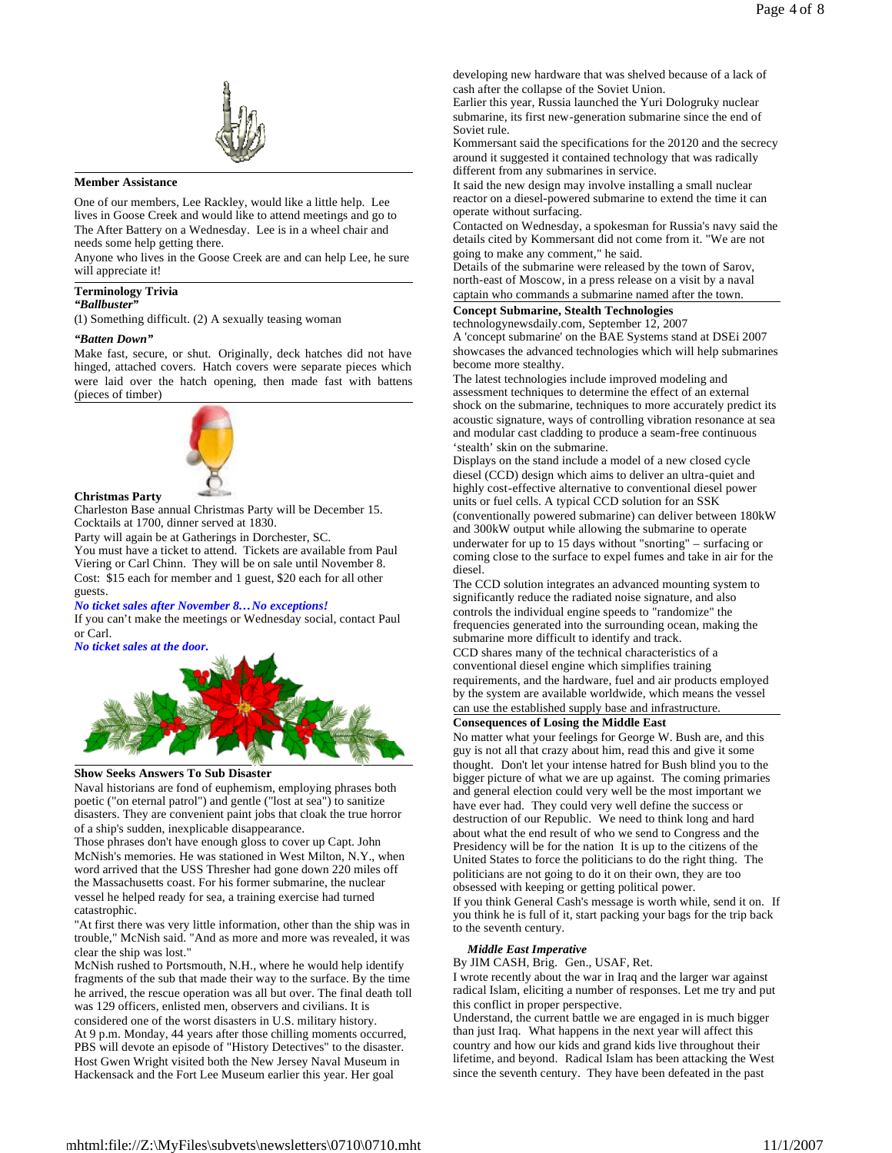

### **Member Assistance**

One of our members, Lee Rackley, would like a little help. Lee lives in Goose Creek and would like to attend meetings and go to The After Battery on a Wednesday. Lee is in a wheel chair and needs some help getting there.

Anyone who lives in the Goose Creek are and can help Lee, he sure will appreciate it!

### **Terminology Trivia**

### *"Ballbuster"*

(1) Something difficult. (2) A sexually teasing woman

#### *"Batten Down"*

Make fast, secure, or shut. Originally, deck hatches did not have hinged, attached covers. Hatch covers were separate pieces which were laid over the hatch opening, then made fast with battens (pieces of timber)



#### **Christmas Party**

Charleston Base annual Christmas Party will be December 15. Cocktails at 1700, dinner served at 1830.

Party will again be at Gatherings in Dorchester, SC.

You must have a ticket to attend. Tickets are available from Paul Viering or Carl Chinn. They will be on sale until November 8. Cost: \$15 each for member and 1 guest, \$20 each for all other guests.

#### *No ticket sales after November 8…No exceptions!*

If you can't make the meetings or Wednesday social, contact Paul or Carl.

*No ticket sales at the door.*



# **Show Seeks Answers To Sub Disaster**

Naval historians are fond of euphemism, employing phrases both poetic ("on eternal patrol") and gentle ("lost at sea") to sanitize disasters. They are convenient paint jobs that cloak the true horror of a ship's sudden, inexplicable disappearance.

Those phrases don't have enough gloss to cover up Capt. John McNish's memories. He was stationed in West Milton, N.Y., when word arrived that the USS Thresher had gone down 220 miles off the Massachusetts coast. For his former submarine, the nuclear vessel he helped ready for sea, a training exercise had turned catastrophic.

"At first there was very little information, other than the ship was in trouble," McNish said. "And as more and more was revealed, it was clear the ship was lost."

McNish rushed to Portsmouth, N.H., where he would help identify fragments of the sub that made their way to the surface. By the time he arrived, the rescue operation was all but over. The final death toll was 129 officers, enlisted men, observers and civilians. It is

considered one of the worst disasters in U.S. military history. At 9 p.m. Monday, 44 years after those chilling moments occurred, PBS will devote an episode of "History Detectives" to the disaster. Host Gwen Wright visited both the New Jersey Naval Museum in Hackensack and the Fort Lee Museum earlier this year. Her goal

developing new hardware that was shelved because of a lack of cash after the collapse of the Soviet Union.

Earlier this year, Russia launched the Yuri Dologruky nuclear submarine, its first new-generation submarine since the end of Soviet rule.

Kommersant said the specifications for the 20120 and the secrecy around it suggested it contained technology that was radically different from any submarines in service.

It said the new design may involve installing a small nuclear reactor on a diesel-powered submarine to extend the time it can operate without surfacing.

Contacted on Wednesday, a spokesman for Russia's navy said the details cited by Kommersant did not come from it. "We are not going to make any comment," he said.

Details of the submarine were released by the town of Sarov, north-east of Moscow, in a press release on a visit by a naval captain who commands a submarine named after the town.

**Concept Submarine, Stealth Technologies**

technologynewsdaily.com, September 12, 2007

A 'concept submarine' on the BAE Systems stand at DSEi 2007 showcases the advanced technologies which will help submarines become more stealthy.

The latest technologies include improved modeling and assessment techniques to determine the effect of an external shock on the submarine, techniques to more accurately predict its acoustic signature, ways of controlling vibration resonance at sea and modular cast cladding to produce a seam-free continuous 'stealth' skin on the submarine.

Displays on the stand include a model of a new closed cycle diesel (CCD) design which aims to deliver an ultra-quiet and highly cost-effective alternative to conventional diesel power units or fuel cells. A typical CCD solution for an SSK (conventionally powered submarine) can deliver between 180kW and 300kW output while allowing the submarine to operate underwater for up to 15 days without "snorting" – surfacing or coming close to the surface to expel fumes and take in air for the diesel.

The CCD solution integrates an advanced mounting system to significantly reduce the radiated noise signature, and also controls the individual engine speeds to "randomize" the frequencies generated into the surrounding ocean, making the submarine more difficult to identify and track. CCD shares many of the technical characteristics of a

conventional diesel engine which simplifies training requirements, and the hardware, fuel and air products employed by the system are available worldwide, which means the vessel can use the established supply base and infrastructure.

# **Consequences of Losing the Middle East**

No matter what your feelings for George W. Bush are, and this guy is not all that crazy about him, read this and give it some thought. Don't let your intense hatred for Bush blind you to the bigger picture of what we are up against. The coming primaries and general election could very well be the most important we have ever had. They could very well define the success or destruction of our Republic. We need to think long and hard about what the end result of who we send to Congress and the Presidency will be for the nation It is up to the citizens of the United States to force the politicians to do the right thing. The politicians are not going to do it on their own, they are too obsessed with keeping or getting political power. If you think General Cash's message is worth while, send it on. If you think he is full of it, start packing your bags for the trip back

#### *Middle East Imperative*

to the seventh century.

By JIM CASH, Brig. Gen., USAF, Ret.

I wrote recently about the war in Iraq and the larger war against radical Islam, eliciting a number of responses. Let me try and put this conflict in proper perspective.

Understand, the current battle we are engaged in is much bigger than just Iraq. What happens in the next year will affect this country and how our kids and grand kids live throughout their lifetime, and beyond. Radical Islam has been attacking the West since the seventh century. They have been defeated in the past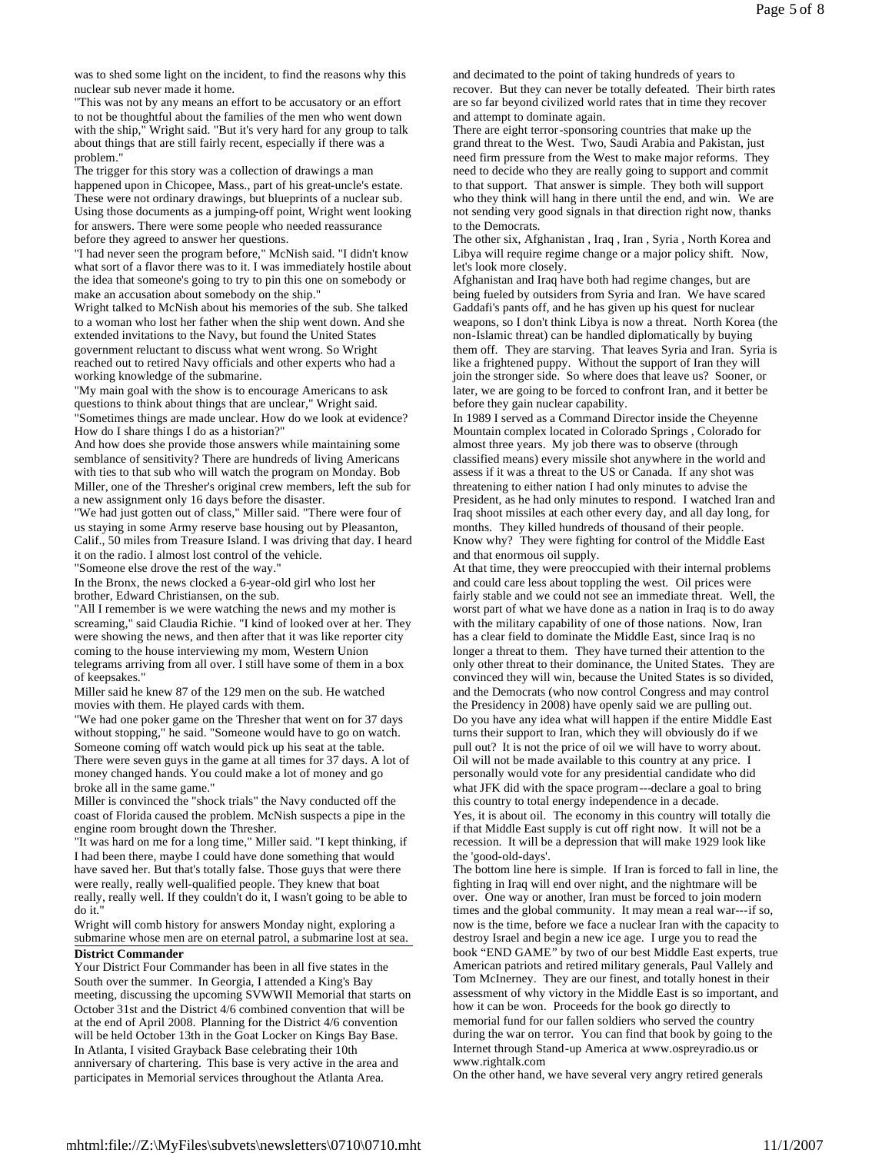was to shed some light on the incident, to find the reasons why this nuclear sub never made it home.

"This was not by any means an effort to be accusatory or an effort to not be thoughtful about the families of the men who went down with the ship," Wright said. "But it's very hard for any group to talk about things that are still fairly recent, especially if there was a problem."

The trigger for this story was a collection of drawings a man happened upon in Chicopee, Mass., part of his great-uncle's estate. These were not ordinary drawings, but blueprints of a nuclear sub. Using those documents as a jumping-off point, Wright went looking for answers. There were some people who needed reassurance

before they agreed to answer her questions. "I had never seen the program before," McNish said. "I didn't know what sort of a flavor there was to it. I was immediately hostile about the idea that someone's going to try to pin this one on somebody or make an accusation about somebody on the ship."

Wright talked to McNish about his memories of the sub. She talked to a woman who lost her father when the ship went down. And she extended invitations to the Navy, but found the United States government reluctant to discuss what went wrong. So Wright reached out to retired Navy officials and other experts who had a working knowledge of the submarine.

"My main goal with the show is to encourage Americans to ask questions to think about things that are unclear," Wright said. "Sometimes things are made unclear. How do we look at evidence? How do I share things I do as a historian?"

And how does she provide those answers while maintaining some semblance of sensitivity? There are hundreds of living Americans with ties to that sub who will watch the program on Monday. Bob Miller, one of the Thresher's original crew members, left the sub for a new assignment only 16 days before the disaster.

"We had just gotten out of class," Miller said. "There were four of us staying in some Army reserve base housing out by Pleasanton, Calif., 50 miles from Treasure Island. I was driving that day. I heard it on the radio. I almost lost control of the vehicle. "Someone else drove the rest of the way."

In the Bronx, the news clocked a 6-year-old girl who lost her brother, Edward Christiansen, on the sub.

"All I remember is we were watching the news and my mother is screaming," said Claudia Richie. "I kind of looked over at her. They were showing the news, and then after that it was like reporter city coming to the house interviewing my mom, Western Union telegrams arriving from all over. I still have some of them in a box of keepsakes."

Miller said he knew 87 of the 129 men on the sub. He watched movies with them. He played cards with them.

"We had one poker game on the Thresher that went on for 37 days without stopping," he said. "Someone would have to go on watch. Someone coming off watch would pick up his seat at the table. There were seven guys in the game at all times for 37 days. A lot of money changed hands. You could make a lot of money and go broke all in the same game."

Miller is convinced the "shock trials" the Navy conducted off the coast of Florida caused the problem. McNish suspects a pipe in the engine room brought down the Thresher.

"It was hard on me for a long time," Miller said. "I kept thinking, if I had been there, maybe I could have done something that would have saved her. But that's totally false. Those guys that were there were really, really well-qualified people. They knew that boat really, really well. If they couldn't do it, I wasn't going to be able to do it."

Wright will comb history for answers Monday night, exploring a submarine whose men are on eternal patrol, a submarine lost at sea.

# **District Commander**

Your District Four Commander has been in all five states in the South over the summer. In Georgia, I attended a King's Bay meeting, discussing the upcoming SVWWII Memorial that starts on October 31st and the District 4/6 combined convention that will be at the end of April 2008. Planning for the District 4/6 convention will be held October 13th in the Goat Locker on Kings Bay Base. In Atlanta, I visited Grayback Base celebrating their 10th anniversary of chartering. This base is very active in the area and participates in Memorial services throughout the Atlanta Area.

and decimated to the point of taking hundreds of years to recover. But they can never be totally defeated. Their birth rates are so far beyond civilized world rates that in time they recover and attempt to dominate again.

There are eight terror-sponsoring countries that make up the grand threat to the West. Two, Saudi Arabia and Pakistan, just need firm pressure from the West to make major reforms. They need to decide who they are really going to support and commit to that support. That answer is simple. They both will support who they think will hang in there until the end, and win. We are not sending very good signals in that direction right now, thanks to the Democrats.

The other six, Afghanistan , Iraq , Iran , Syria , North Korea and Libya will require regime change or a major policy shift. Now, let's look more closely.

Afghanistan and Iraq have both had regime changes, but are being fueled by outsiders from Syria and Iran. We have scared Gaddafi's pants off, and he has given up his quest for nuclear weapons, so I don't think Libya is now a threat. North Korea (the non-Islamic threat) can be handled diplomatically by buying them off. They are starving. That leaves Syria and Iran. Syria is like a frightened puppy. Without the support of Iran they will join the stronger side. So where does that leave us? Sooner, or later, we are going to be forced to confront Iran, and it better be before they gain nuclear capability.

In 1989 I served as a Command Director inside the Cheyenne Mountain complex located in Colorado Springs , Colorado for almost three years. My job there was to observe (through classified means) every missile shot anywhere in the world and assess if it was a threat to the US or Canada. If any shot was threatening to either nation I had only minutes to advise the President, as he had only minutes to respond. I watched Iran and Iraq shoot missiles at each other every day, and all day long, for months. They killed hundreds of thousand of their people. Know why? They were fighting for control of the Middle East and that enormous oil supply.

At that time, they were preoccupied with their internal problems and could care less about toppling the west. Oil prices were fairly stable and we could not see an immediate threat. Well, the worst part of what we have done as a nation in Iraq is to do away with the military capability of one of those nations. Now, Iran has a clear field to dominate the Middle East, since Iraq is no longer a threat to them. They have turned their attention to the only other threat to their dominance, the United States. They are convinced they will win, because the United States is so divided, and the Democrats (who now control Congress and may control the Presidency in 2008) have openly said we are pulling out. Do you have any idea what will happen if the entire Middle East turns their support to Iran, which they will obviously do if we pull out? It is not the price of oil we will have to worry about. Oil will not be made available to this country at any price. I personally would vote for any presidential candidate who did what JFK did with the space program---declare a goal to bring this country to total energy independence in a decade. Yes, it is about oil. The economy in this country will totally die

if that Middle East supply is cut off right now. It will not be a recession. It will be a depression that will make 1929 look like the 'good-old-days'.

The bottom line here is simple. If Iran is forced to fall in line, the fighting in Iraq will end over night, and the nightmare will be over. One way or another, Iran must be forced to join modern times and the global community. It may mean a real war---if so, now is the time, before we face a nuclear Iran with the capacity to destroy Israel and begin a new ice age. I urge you to read the book "END GAME" by two of our best Middle East experts, true American patriots and retired military generals, Paul Vallely and Tom McInerney. They are our finest, and totally honest in their assessment of why victory in the Middle East is so important, and how it can be won. Proceeds for the book go directly to memorial fund for our fallen soldiers who served the country during the war on terror. You can find that book by going to the Internet through Stand-up America at www.ospreyradio.us or www.rightalk.com

On the other hand, we have several very angry retired generals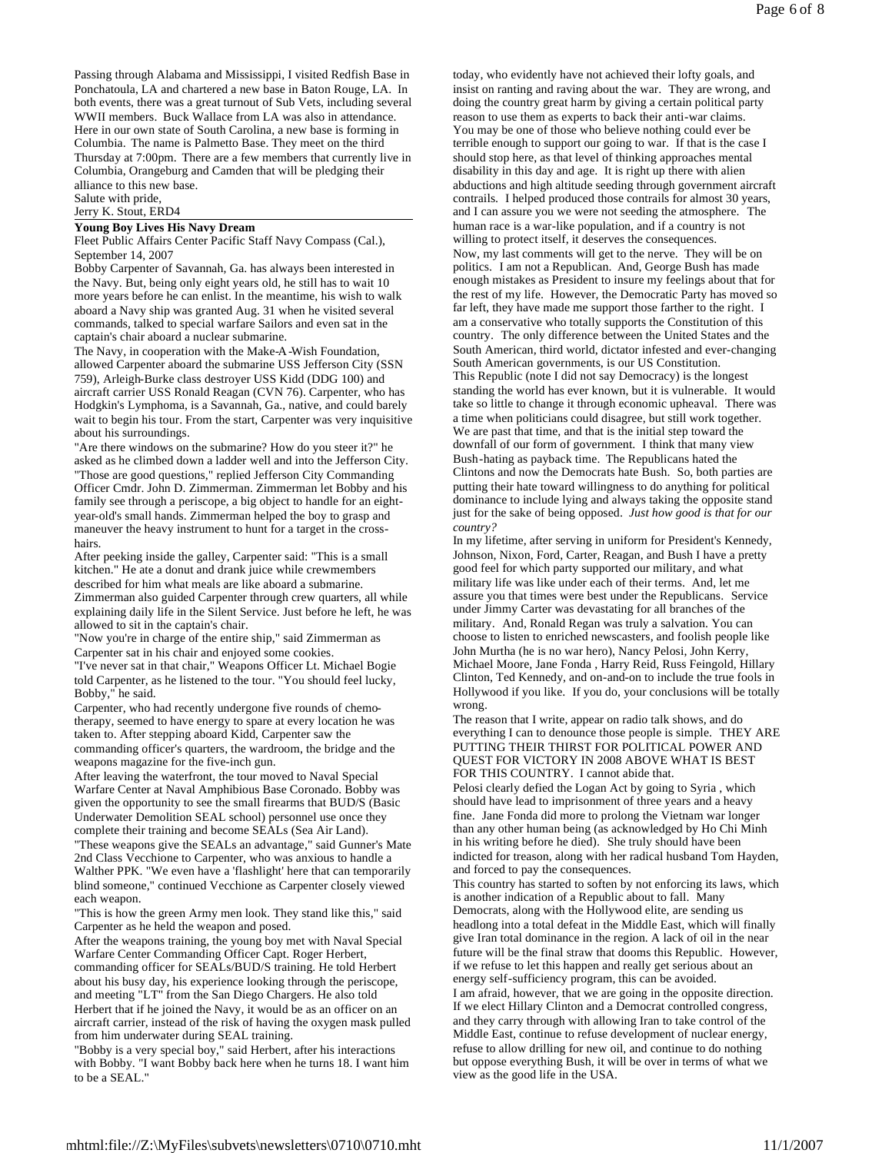Passing through Alabama and Mississippi, I visited Redfish Base in Ponchatoula, LA and chartered a new base in Baton Rouge, LA. In both events, there was a great turnout of Sub Vets, including several WWII members. Buck Wallace from LA was also in attendance. Here in our own state of South Carolina, a new base is forming in Columbia. The name is Palmetto Base. They meet on the third Thursday at 7:00pm. There are a few members that currently live in Columbia, Orangeburg and Camden that will be pledging their alliance to this new base.

Salute with pride,

Jerry K. Stout, ERD4

#### **Young Boy Lives His Navy Dream**

Fleet Public Affairs Center Pacific Staff Navy Compass (Cal.), September 14, 2007

Bobby Carpenter of Savannah, Ga. has always been interested in the Navy. But, being only eight years old, he still has to wait 10 more years before he can enlist. In the meantime, his wish to walk aboard a Navy ship was granted Aug. 31 when he visited several commands, talked to special warfare Sailors and even sat in the captain's chair aboard a nuclear submarine.

The Navy, in cooperation with the Make-A-Wish Foundation, allowed Carpenter aboard the submarine USS Jefferson City (SSN 759), Arleigh-Burke class destroyer USS Kidd (DDG 100) and aircraft carrier USS Ronald Reagan (CVN 76). Carpenter, who has Hodgkin's Lymphoma, is a Savannah, Ga., native, and could barely wait to begin his tour. From the start, Carpenter was very inquisitive about his surroundings.

"Are there windows on the submarine? How do you steer it?" he asked as he climbed down a ladder well and into the Jefferson City. "Those are good questions," replied Jefferson City Commanding Officer Cmdr. John D. Zimmerman. Zimmerman let Bobby and his family see through a periscope, a big object to handle for an eightyear-old's small hands. Zimmerman helped the boy to grasp and maneuver the heavy instrument to hunt for a target in the crosshairs.

After peeking inside the galley, Carpenter said: "This is a small kitchen." He ate a donut and drank juice while crewmembers described for him what meals are like aboard a submarine. Zimmerman also guided Carpenter through crew quarters, all while explaining daily life in the Silent Service. Just before he left, he was allowed to sit in the captain's chair.

"Now you're in charge of the entire ship," said Zimmerman as Carpenter sat in his chair and enjoyed some cookies.

"I've never sat in that chair," Weapons Officer Lt. Michael Bogie told Carpenter, as he listened to the tour. "You should feel lucky, Bobby," he said.

Carpenter, who had recently undergone five rounds of chemotherapy, seemed to have energy to spare at every location he was taken to. After stepping aboard Kidd, Carpenter saw the commanding officer's quarters, the wardroom, the bridge and the weapons magazine for the five-inch gun.

After leaving the waterfront, the tour moved to Naval Special Warfare Center at Naval Amphibious Base Coronado. Bobby was given the opportunity to see the small firearms that BUD/S (Basic Underwater Demolition SEAL school) personnel use once they complete their training and become SEALs (Sea Air Land).

"These weapons give the SEALs an advantage," said Gunner's Mate 2nd Class Vecchione to Carpenter, who was anxious to handle a Walther PPK. "We even have a 'flashlight' here that can temporarily blind someone," continued Vecchione as Carpenter closely viewed each weapon.

"This is how the green Army men look. They stand like this," said Carpenter as he held the weapon and posed.

After the weapons training, the young boy met with Naval Special Warfare Center Commanding Officer Capt. Roger Herbert, commanding officer for SEALs/BUD/S training. He told Herbert about his busy day, his experience looking through the periscope, and meeting "LT" from the San Diego Chargers. He also told Herbert that if he joined the Navy, it would be as an officer on an aircraft carrier, instead of the risk of having the oxygen mask pulled from him underwater during SEAL training.

"Bobby is a very special boy," said Herbert, after his interactions with Bobby. "I want Bobby back here when he turns 18. I want him to be a SEAL."

today, who evidently have not achieved their lofty goals, and insist on ranting and raving about the war. They are wrong, and doing the country great harm by giving a certain political party reason to use them as experts to back their anti-war claims. You may be one of those who believe nothing could ever be terrible enough to support our going to war. If that is the case I should stop here, as that level of thinking approaches mental disability in this day and age. It is right up there with alien abductions and high altitude seeding through government aircraft contrails. I helped produced those contrails for almost 30 years, and I can assure you we were not seeding the atmosphere. The human race is a war-like population, and if a country is not willing to protect itself, it deserves the consequences. Now, my last comments will get to the nerve. They will be on politics. I am not a Republican. And, George Bush has made enough mistakes as President to insure my feelings about that for the rest of my life. However, the Democratic Party has moved so far left, they have made me support those farther to the right. I am a conservative who totally supports the Constitution of this country. The only difference between the United States and the South American, third world, dictator infested and ever-changing South American governments, is our US Constitution. This Republic (note I did not say Democracy) is the longest standing the world has ever known, but it is vulnerable. It would take so little to change it through economic upheaval. There was a time when politicians could disagree, but still work together. We are past that time, and that is the initial step toward the downfall of our form of government. I think that many view Bush-hating as payback time. The Republicans hated the Clintons and now the Democrats hate Bush. So, both parties are putting their hate toward willingness to do anything for political dominance to include lying and always taking the opposite stand just for the sake of being opposed. *Just how good is that for our country?*

In my lifetime, after serving in uniform for President's Kennedy, Johnson, Nixon, Ford, Carter, Reagan, and Bush I have a pretty good feel for which party supported our military, and what military life was like under each of their terms. And, let me assure you that times were best under the Republicans. Service under Jimmy Carter was devastating for all branches of the military. And, Ronald Regan was truly a salvation. You can choose to listen to enriched newscasters, and foolish people like John Murtha (he is no war hero), Nancy Pelosi, John Kerry, Michael Moore, Jane Fonda , Harry Reid, Russ Feingold, Hillary Clinton, Ted Kennedy, and on-and-on to include the true fools in Hollywood if you like. If you do, your conclusions will be totally wrong.

The reason that I write, appear on radio talk shows, and do everything I can to denounce those people is simple. THEY ARE PUTTING THEIR THIRST FOR POLITICAL POWER AND QUEST FOR VICTORY IN 2008 ABOVE WHAT IS BEST FOR THIS COUNTRY. I cannot abide that.

Pelosi clearly defied the Logan Act by going to Syria , which should have lead to imprisonment of three years and a heavy fine. Jane Fonda did more to prolong the Vietnam war longer than any other human being (as acknowledged by Ho Chi Minh in his writing before he died). She truly should have been indicted for treason, along with her radical husband Tom Hayden, and forced to pay the consequences.

This country has started to soften by not enforcing its laws, which is another indication of a Republic about to fall. Many Democrats, along with the Hollywood elite, are sending us headlong into a total defeat in the Middle East, which will finally give Iran total dominance in the region. A lack of oil in the near future will be the final straw that dooms this Republic. However, if we refuse to let this happen and really get serious about an energy self-sufficiency program, this can be avoided. I am afraid, however, that we are going in the opposite direction. If we elect Hillary Clinton and a Democrat controlled congress, and they carry through with allowing Iran to take control of the Middle East, continue to refuse development of nuclear energy, refuse to allow drilling for new oil, and continue to do nothing but oppose everything Bush, it will be over in terms of what we view as the good life in the USA.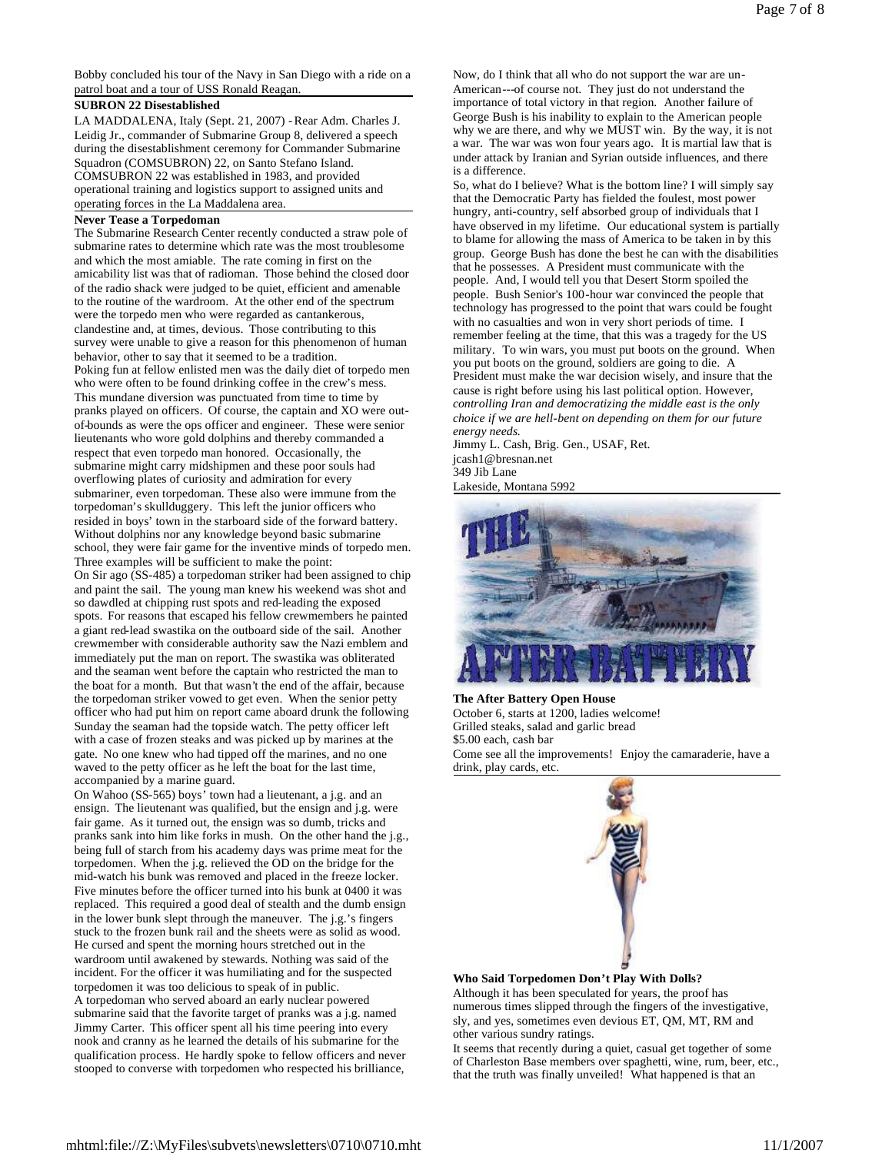Bobby concluded his tour of the Navy in San Diego with a ride on a patrol boat and a tour of USS Ronald Reagan.

# **SUBRON 22 Disestablished**

LA MADDALENA, Italy (Sept. 21, 2007) -Rear Adm. Charles J. Leidig Jr., commander of Submarine Group 8, delivered a speech during the disestablishment ceremony for Commander Submarine Squadron (COMSUBRON) 22, on Santo Stefano Island. COMSUBRON 22 was established in 1983, and provided operational training and logistics support to assigned units and operating forces in the La Maddalena area.

# **Never Tease a Torpedoman**

The Submarine Research Center recently conducted a straw pole of submarine rates to determine which rate was the most troublesome and which the most amiable. The rate coming in first on the amicability list was that of radioman. Those behind the closed door of the radio shack were judged to be quiet, efficient and amenable to the routine of the wardroom. At the other end of the spectrum were the torpedo men who were regarded as cantankerous, clandestine and, at times, devious. Those contributing to this survey were unable to give a reason for this phenomenon of human behavior, other to say that it seemed to be a tradition. Poking fun at fellow enlisted men was the daily diet of torpedo men who were often to be found drinking coffee in the crew's mess. This mundane diversion was punctuated from time to time by pranks played on officers. Of course, the captain and XO were outof-bounds as were the ops officer and engineer. These were senior lieutenants who wore gold dolphins and thereby commanded a respect that even torpedo man honored. Occasionally, the submarine might carry midshipmen and these poor souls had overflowing plates of curiosity and admiration for every submariner, even torpedoman. These also were immune from the torpedoman's skullduggery. This left the junior officers who resided in boys' town in the starboard side of the forward battery. Without dolphins nor any knowledge beyond basic submarine school, they were fair game for the inventive minds of torpedo men. Three examples will be sufficient to make the point: On Sir ago (SS-485) a torpedoman striker had been assigned to chip

and paint the sail. The young man knew his weekend was shot and so dawdled at chipping rust spots and red-leading the exposed spots. For reasons that escaped his fellow crewmembers he painted a giant red-lead swastika on the outboard side of the sail. Another crewmember with considerable authority saw the Nazi emblem and immediately put the man on report. The swastika was obliterated and the seaman went before the captain who restricted the man to the boat for a month. But that wasn't the end of the affair, because the torpedoman striker vowed to get even. When the senior petty officer who had put him on report came aboard drunk the following Sunday the seaman had the topside watch. The petty officer left with a case of frozen steaks and was picked up by marines at the gate. No one knew who had tipped off the marines, and no one waved to the petty officer as he left the boat for the last time, accompanied by a marine guard.

On Wahoo (SS-565) boys' town had a lieutenant, a j.g. and an ensign. The lieutenant was qualified, but the ensign and j.g. were fair game. As it turned out, the ensign was so dumb, tricks and pranks sank into him like forks in mush. On the other hand the j.g., being full of starch from his academy days was prime meat for the torpedomen. When the j.g. relieved the OD on the bridge for the mid-watch his bunk was removed and placed in the freeze locker. Five minutes before the officer turned into his bunk at 0400 it was replaced. This required a good deal of stealth and the dumb ensign in the lower bunk slept through the maneuver. The j.g.'s fingers stuck to the frozen bunk rail and the sheets were as solid as wood. He cursed and spent the morning hours stretched out in the wardroom until awakened by stewards. Nothing was said of the incident. For the officer it was humiliating and for the suspected torpedomen it was too delicious to speak of in public. A torpedoman who served aboard an early nuclear powered submarine said that the favorite target of pranks was a j.g. named Jimmy Carter. This officer spent all his time peering into every nook and cranny as he learned the details of his submarine for the qualification process. He hardly spoke to fellow officers and never stooped to converse with torpedomen who respected his brilliance,

Now, do I think that all who do not support the war are un-American---of course not. They just do not understand the importance of total victory in that region. Another failure of George Bush is his inability to explain to the American people why we are there, and why we MUST win. By the way, it is not a war. The war was won four years ago. It is martial law that is under attack by Iranian and Syrian outside influences, and there is a difference.

So, what do I believe? What is the bottom line? I will simply say that the Democratic Party has fielded the foulest, most power hungry, anti-country, self absorbed group of individuals that I have observed in my lifetime. Our educational system is partially to blame for allowing the mass of America to be taken in by this group. George Bush has done the best he can with the disabilities that he possesses. A President must communicate with the people. And, I would tell you that Desert Storm spoiled the people. Bush Senior's 100-hour war convinced the people that technology has progressed to the point that wars could be fought with no casualties and won in very short periods of time. I remember feeling at the time, that this was a tragedy for the US military. To win wars, you must put boots on the ground. When you put boots on the ground, soldiers are going to die. A President must make the war decision wisely, and insure that the cause is right before using his last political option. However, *controlling Iran and democratizing the middle east is the only choice if we are hell-bent on depending on them for our future energy needs.*

Jimmy L. Cash, Brig. Gen., USAF, Ret. jcash1@bresnan.net 349 Jib Lane Lakeside, Montana 5992



**The After Battery Open House** October 6, starts at 1200, ladies welcome! Grilled steaks, salad and garlic bread \$5.00 each, cash bar Come see all the improvements! Enjoy the camaraderie, have a





**Who Said Torpedomen Don't Play With Dolls?**

Although it has been speculated for years, the proof has numerous times slipped through the fingers of the investigative, sly, and yes, sometimes even devious ET, QM, MT, RM and other various sundry ratings.

It seems that recently during a quiet, casual get together of some of Charleston Base members over spaghetti, wine, rum, beer, etc., that the truth was finally unveiled! What happened is that an